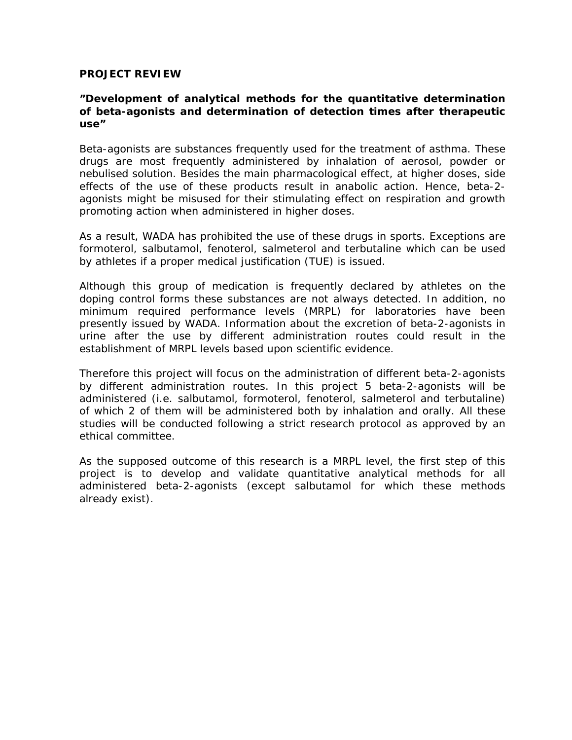## **PROJECT REVIEW**

## **"Development of analytical methods for the quantitative determination of beta-agonists and determination of detection times after therapeutic use"**

Beta-agonists are substances frequently used for the treatment of asthma. These drugs are most frequently administered by inhalation of aerosol, powder or nebulised solution. Besides the main pharmacological effect, at higher doses, side effects of the use of these products result in anabolic action. Hence, beta-2 agonists might be misused for their stimulating effect on respiration and growth promoting action when administered in higher doses.

As a result, WADA has prohibited the use of these drugs in sports. Exceptions are formoterol, salbutamol, fenoterol, salmeterol and terbutaline which can be used by athletes if a proper medical justification (TUE) is issued.

Although this group of medication is frequently declared by athletes on the doping control forms these substances are not always detected. In addition, no minimum required performance levels (MRPL) for laboratories have been presently issued by WADA. Information about the excretion of beta-2-agonists in urine after the use by different administration routes could result in the establishment of MRPL levels based upon scientific evidence.

Therefore this project will focus on the administration of different beta-2-agonists by different administration routes. In this project 5 beta-2-agonists will be administered (i.e. salbutamol, formoterol, fenoterol, salmeterol and terbutaline) of which 2 of them will be administered both by inhalation and orally. All these studies will be conducted following a strict research protocol as approved by an ethical committee.

As the supposed outcome of this research is a MRPL level, the first step of this project is to develop and validate quantitative analytical methods for all administered beta-2-agonists (except salbutamol for which these methods already exist).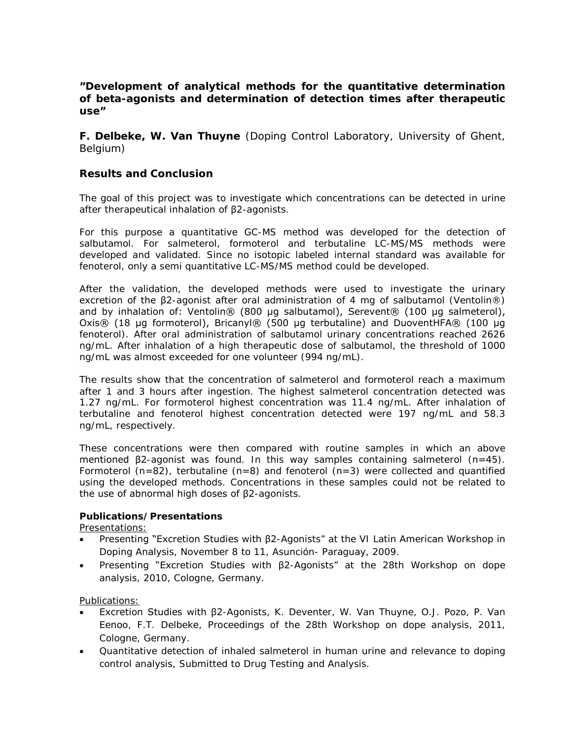# **"Development of analytical methods for the quantitative determination of beta-agonists and determination of detection times after therapeutic use"**

**F. Delbeke, W. Van Thuyne** (Doping Control Laboratory, University of Ghent, Belgium)

## **Results and Conclusion**

The goal of this project was to investigate which concentrations can be detected in urine after therapeutical inhalation of β2-agonists.

For this purpose a quantitative GC-MS method was developed for the detection of salbutamol. For salmeterol, formoterol and terbutaline LC-MS/MS methods were developed and validated. Since no isotopic labeled internal standard was available for fenoterol, only a semi quantitative LC-MS/MS method could be developed.

After the validation, the developed methods were used to investigate the urinary excretion of the β2-agonist after oral administration of 4 mg of salbutamol (Ventolin®) and by inhalation of: Ventolin® (800 μg salbutamol), Serevent® (100 μg salmeterol), Oxis® (18 μg formoterol), Bricanyl® (500 μg terbutaline) and DuoventHFA® (100 μg fenoterol). After oral administration of salbutamol urinary concentrations reached 2626 ng/mL. After inhalation of a high therapeutic dose of salbutamol, the threshold of 1000 ng/mL was almost exceeded for one volunteer (994 ng/mL).

The results show that the concentration of salmeterol and formoterol reach a maximum after 1 and 3 hours after ingestion. The highest salmeterol concentration detected was 1.27 ng/mL. For formoterol highest concentration was 11.4 ng/mL. After inhalation of terbutaline and fenoterol highest concentration detected were 197 ng/mL and 58.3 ng/mL, respectively.

These concentrations were then compared with routine samples in which an above mentioned β2-agonist was found. In this way samples containing salmeterol (n=45). Formoterol (n=82), terbutaline (n=8) and fenoterol (n=3) were collected and quantified using the developed methods. Concentrations in these samples could not be related to the use of abnormal high doses of β2-agonists.

#### **Publications/Presentations**

Presentations:

- Presenting "Excretion Studies with β2-Agonists" at the VI Latin American Workshop in Doping Analysis, November 8 to 11, Asunción- Paraguay, 2009.
- Presenting "Excretion Studies with β2-Agonists" at the 28th Workshop on dope analysis, 2010, Cologne, Germany.

Publications:

- Excretion Studies with β2-Agonists, K. Deventer, W. Van Thuyne, O.J. Pozo, P. Van Eenoo, F.T. Delbeke, Proceedings of the 28th Workshop on dope analysis, 2011, Cologne, Germany.
- Quantitative detection of inhaled salmeterol in human urine and relevance to doping control analysis, Submitted to Drug Testing and Analysis.